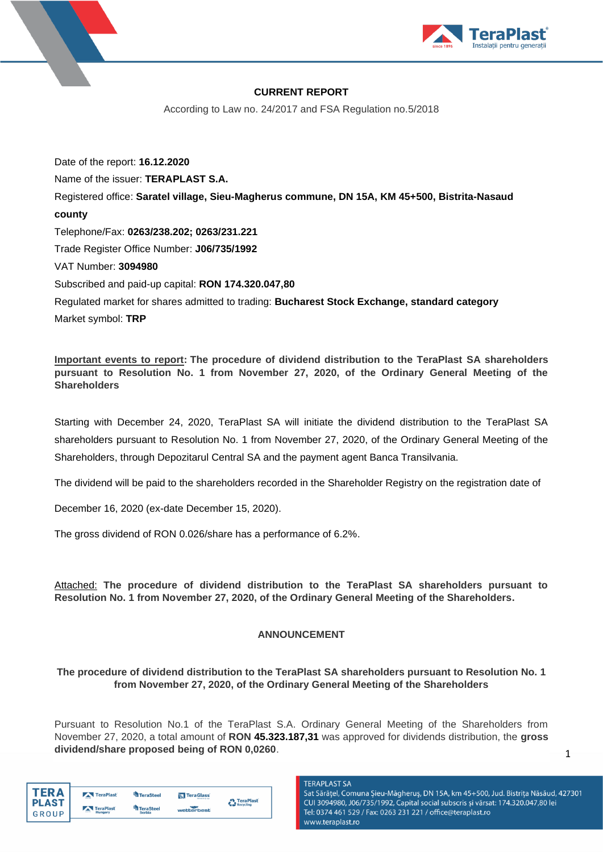

# **CURRENT REPORT**

According to Law no. 24/2017 and FSA Regulation no.5/2018

Date of the report: **16.12.2020** Name of the issuer: **TERAPLAST S.A.** Registered office: **Saratel village, Sieu-Magherus commune, DN 15A, KM 45+500, Bistrita-Nasaud county** Telephone/Fax: **0263/238.202; 0263/231.221** Trade Register Office Number: **J06/735/1992** VAT Number: **3094980** Subscribed and paid-up capital: **RON 174.320.047,80** Regulated market for shares admitted to trading: **Bucharest Stock Exchange, standard category**

Market symbol: **TRP**

**Important events to report: The procedure of dividend distribution to the TeraPlast SA shareholders pursuant to Resolution No. 1 from November 27, 2020, of the Ordinary General Meeting of the Shareholders** 

Starting with December 24, 2020, TeraPlast SA will initiate the dividend distribution to the TeraPlast SA shareholders pursuant to Resolution No. 1 from November 27, 2020, of the Ordinary General Meeting of the Shareholders, through Depozitarul Central SA and the payment agent Banca Transilvania.

The dividend will be paid to the shareholders recorded in the Shareholder Registry on the registration date of

December 16, 2020 (ex-date December 15, 2020).

The gross dividend of RON 0.026/share has a performance of 6.2%.

Attached: **The procedure of dividend distribution to the TeraPlast SA shareholders pursuant to Resolution No. 1 from November 27, 2020, of the Ordinary General Meeting of the Shareholders.**

# **ANNOUNCEMENT**

# **The procedure of dividend distribution to the TeraPlast SA shareholders pursuant to Resolution No. 1 from November 27, 2020, of the Ordinary General Meeting of the Shareholders**

Pursuant to Resolution No.1 of the TeraPlast S.A. Ordinary General Meeting of the Shareholders from November 27, 2020, a total amount of **RON 45.323.187,31** was approved for dividends distribution, the **gross dividend/share proposed being of RON 0,0260**.

| TFR A        | TeraPlast                 | <b>TeraSteel</b> | <b>N</b> TeraGlass | <b>TeraPlast</b> |
|--------------|---------------------------|------------------|--------------------|------------------|
| <b>PLAST</b> | <b>TeraPlast</b>          | <b>TeraSteel</b> |                    | Recycling        |
| GROUP        | $\overline{a}$<br>Hungary | <b>Serbia</b>    | wetterbest         |                  |

**TERAPLAST SA** Sat Sărățel, Comuna Șieu-Măgheruș, DN 15A, km 45+500, Jud. Bistrița Năsăud, 427301 CUI 3094980, J06/735/1992, Capital social subscris și vărsat: 174.320.047,80 lei Tel: 0374 461 529 / Fax: 0263 231 221 / office@teraplast.ro www.teraplast.ro

1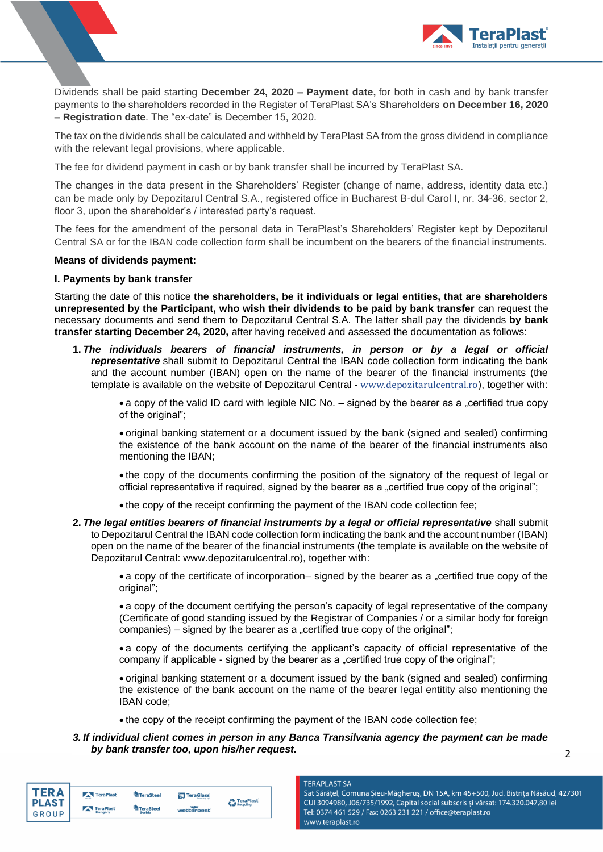

Dividends shall be paid starting **December 24, 2020 – Payment date,** for both in cash and by bank transfer payments to the shareholders recorded in the Register of TeraPlast SA's Shareholders **on December 16, 2020 – Registration date**. The "ex-date" is December 15, 2020.

The tax on the dividends shall be calculated and withheld by TeraPlast SA from the gross dividend in compliance with the relevant legal provisions, where applicable.

The fee for dividend payment in cash or by bank transfer shall be incurred by TeraPlast SA.

The changes in the data present in the Shareholders' Register (change of name, address, identity data etc.) can be made only by Depozitarul Central S.A., registered office in Bucharest B-dul Carol I, nr. 34-36, sector 2, floor 3, upon the shareholder's / interested party's request.

The fees for the amendment of the personal data in TeraPlast's Shareholders' Register kept by Depozitarul Central SA or for the IBAN code collection form shall be incumbent on the bearers of the financial instruments.

### **Means of dividends payment:**

## **I. Payments by bank transfer**

Starting the date of this notice **the shareholders, be it individuals or legal entities, that are shareholders unrepresented by the Participant, who wish their dividends to be paid by bank transfer** can request the necessary documents and send them to Depozitarul Central S.A. The latter shall pay the dividends **by bank transfer starting December 24, 2020,** after having received and assessed the documentation as follows:

**1.** *The individuals bearers of financial instruments, in person or by a legal or official representative* shall submit to Depozitarul Central the IBAN code collection form indicating the bank and the account number (IBAN) open on the name of the bearer of the financial instruments (the template is available on the website of Depozitarul Central - [www.depozitarulcentral.ro](http://www.depozitarulcentral.ro/)), together with:

• a copy of the valid ID card with legible NIC No.  $-$  signed by the bearer as a "certified true copy of the original":

• original banking statement or a document issued by the bank (signed and sealed) confirming the existence of the bank account on the name of the bearer of the financial instruments also mentioning the IBAN;

• the copy of the documents confirming the position of the signatory of the request of legal or official representative if required, signed by the bearer as a "certified true copy of the original";

- the copy of the receipt confirming the payment of the IBAN code collection fee;
- **2.** *The legal entities bearers of financial instruments by a legal or official representative* shall submit to Depozitarul Central the IBAN code collection form indicating the bank and the account number (IBAN) open on the name of the bearer of the financial instruments (the template is available on the website of Depozitarul Central: www.depozitarulcentral.ro), together with:

• a copy of the certificate of incorporation– signed by the bearer as a "certified true copy of the original";

• a copy of the document certifying the person's capacity of legal representative of the company (Certificate of good standing issued by the Registrar of Companies / or a similar body for foreign companies) – signed by the bearer as a "certified true copy of the original";

• a copy of the documents certifying the applicant's capacity of official representative of the company if applicable - signed by the bearer as a "certified true copy of the original";

• original banking statement or a document issued by the bank (signed and sealed) confirming the existence of the bank account on the name of the bearer legal entitity also mentioning the IBAN code;

- the copy of the receipt confirming the payment of the IBAN code collection fee;
- *3. If individual client comes in person in any Banca Transilvania agency the payment can be made by bank transfer too, upon his/her request.*

| TFR A<br><b>PLAST</b> | TeraPlast            | <b>TeraSteel</b>           | TeraGlass  | TeraPlast |
|-----------------------|----------------------|----------------------------|------------|-----------|
| GROUP                 | TeraPlast<br>Hungary | TeraSteel<br><b>Serbia</b> | wetterbest | Recycling |

#### **TERAPLAST SA** Sat Sărățel, Comuna Șieu-Măgheruș, DN 15A, km 45+500, Jud. Bistrița Năsăud, 427301 CUI 3094980, J06/735/1992, Capital social subscris și vărsat: 174.320.047,80 lei Tel: 0374 461 529 / Fax: 0263 231 221 / office@teraplast.ro www.teraplast.ro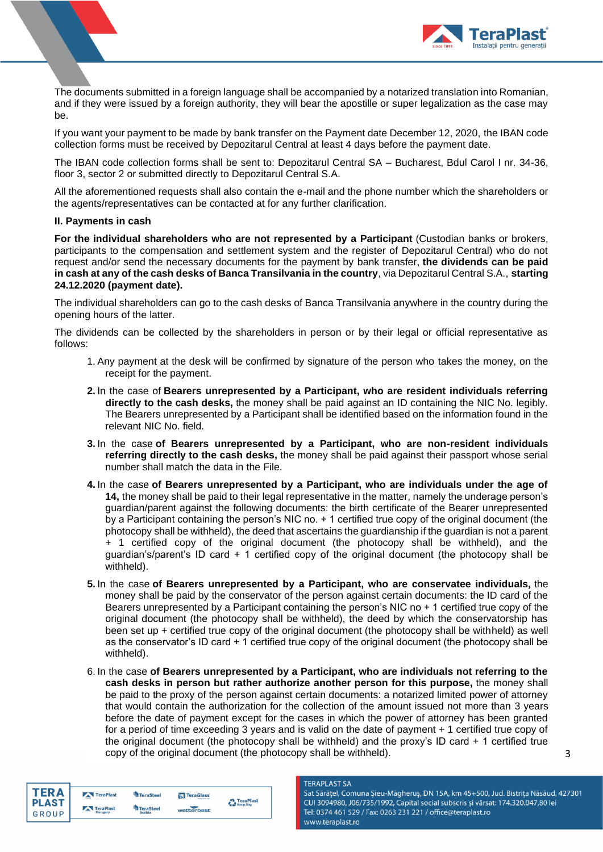

The documents submitted in a foreign language shall be accompanied by a notarized translation into Romanian, and if they were issued by a foreign authority, they will bear the apostille or super legalization as the case may be.

If you want your payment to be made by bank transfer on the Payment date December 12, 2020, the IBAN code collection forms must be received by Depozitarul Central at least 4 days before the payment date.

The IBAN code collection forms shall be sent to: Depozitarul Central SA – Bucharest, Bdul Carol I nr. 34-36, floor 3, sector 2 or submitted directly to Depozitarul Central S.A.

All the aforementioned requests shall also contain the e-mail and the phone number which the shareholders or the agents/representatives can be contacted at for any further clarification.

### **II. Payments in cash**

**For the individual shareholders who are not represented by a Participant** (Custodian banks or brokers, participants to the compensation and settlement system and the register of Depozitarul Central) who do not request and/or send the necessary documents for the payment by bank transfer, **the dividends can be paid in cash at any of the cash desks of Banca Transilvania in the country**, via Depozitarul Central S.A., **starting 24.12.2020 (payment date).**

The individual shareholders can go to the cash desks of Banca Transilvania anywhere in the country during the opening hours of the latter.

The dividends can be collected by the shareholders in person or by their legal or official representative as follows:

- 1. Any payment at the desk will be confirmed by signature of the person who takes the money, on the receipt for the payment.
- **2.** In the case of **Bearers unrepresented by a Participant, who are resident individuals referring directly to the cash desks,** the money shall be paid against an ID containing the NIC No. legibly. The Bearers unrepresented by a Participant shall be identified based on the information found in the relevant NIC No. field.
- **3.** In the case **of Bearers unrepresented by a Participant, who are non-resident individuals referring directly to the cash desks,** the money shall be paid against their passport whose serial number shall match the data in the File.
- **4.** In the case **of Bearers unrepresented by a Participant, who are individuals under the age of 14,** the money shall be paid to their legal representative in the matter, namely the underage person's guardian/parent against the following documents: the birth certificate of the Bearer unrepresented by a Participant containing the person's NIC no. + 1 certified true copy of the original document (the photocopy shall be withheld), the deed that ascertains the guardianship if the guardian is not a parent + 1 certified copy of the original document (the photocopy shall be withheld), and the guardian's/parent's ID card + 1 certified copy of the original document (the photocopy shall be withheld).
- **5.** In the case **of Bearers unrepresented by a Participant, who are conservatee individuals***,* the money shall be paid by the conservator of the person against certain documents: the ID card of the Bearers unrepresented by a Participant containing the person's NIC no + 1 certified true copy of the original document (the photocopy shall be withheld), the deed by which the conservatorship has been set up + certified true copy of the original document (the photocopy shall be withheld) as well as the conservator's ID card + 1 certified true copy of the original document (the photocopy shall be withheld).
- 6. In the case **of Bearers unrepresented by a Participant, who are individuals not referring to the cash desks in person but rather authorize another person for this purpose,** the money shall be paid to the proxy of the person against certain documents: a notarized limited power of attorney that would contain the authorization for the collection of the amount issued not more than 3 years before the date of payment except for the cases in which the power of attorney has been granted for a period of time exceeding 3 years and is valid on the date of payment + 1 certified true copy of the original document (the photocopy shall be withheld) and the proxy's ID card + 1 certified true copy of the original document (the photocopy shall be withheld).

**TERAPLAST SA** 

| TER A        | TeraPlast | TeraSteel        | <b>N</b> TeraGlass | TeraPlast |
|--------------|-----------|------------------|--------------------|-----------|
| <b>PLAST</b> | TeraPlast | <b>TeraSteel</b> |                    | Recycling |
| <b>GROUP</b> | Hungary   | Serbia           | wetterbest         |           |

Sat Sărățel, Comuna Șieu-Măgheruș, DN 15A, km 45+500, Jud. Bistrița Năsăud, 427301 CUI 3094980, J06/735/1992, Capital social subscris și vărsat: 174.320.047,80 lei Tel: 0374 461 529 / Fax: 0263 231 221 / office@teraplast.ro www.teraplast.ro

3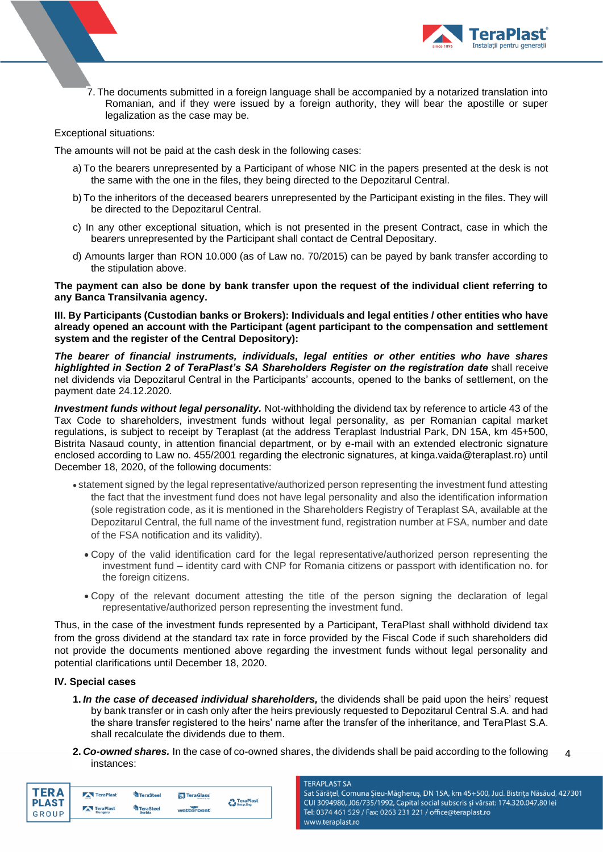

7. The documents submitted in a foreign language shall be accompanied by a notarized translation into Romanian, and if they were issued by a foreign authority, they will bear the apostille or super legalization as the case may be.

## Exceptional situations:

The amounts will not be paid at the cash desk in the following cases:

- a) To the bearers unrepresented by a Participant of whose NIC in the papers presented at the desk is not the same with the one in the files, they being directed to the Depozitarul Central.
- b) To the inheritors of the deceased bearers unrepresented by the Participant existing in the files. They will be directed to the Depozitarul Central.
- c) In any other exceptional situation, which is not presented in the present Contract, case in which the bearers unrepresented by the Participant shall contact de Central Depositary.
- d) Amounts larger than RON 10.000 (as of Law no. 70/2015) can be payed by bank transfer according to the stipulation above.

**The payment can also be done by bank transfer upon the request of the individual client referring to any Banca Transilvania agency.**

**III. By Participants (Custodian banks or Brokers): Individuals and legal entities / other entities who have already opened an account with the Participant (agent participant to the compensation and settlement system and the register of the Central Depository):**

*The bearer of financial instruments, individuals, legal entities or other entities who have shares highlighted in Section 2 of TeraPlast's SA Shareholders Register on the registration date* shall receive net dividends via Depozitarul Central in the Participants' accounts, opened to the banks of settlement, on the payment date 24.12.2020.

*Investment funds without legal personality.* Not-withholding the dividend tax by reference to article 43 of the Tax Code to shareholders, investment funds without legal personality, as per Romanian capital market regulations, is subject to receipt by Teraplast (at the address Teraplast Industrial Park, DN 15A, km 45+500, Bistrita Nasaud county, in attention financial department, or by e-mail with an extended electronic signature enclosed according to Law no. 455/2001 regarding the electronic signatures, at kinga.vaida@teraplast.ro) until December 18, 2020, of the following documents:

- statement signed by the legal representative/authorized person representing the investment fund attesting the fact that the investment fund does not have legal personality and also the identification information (sole registration code, as it is mentioned in the Shareholders Registry of Teraplast SA, available at the Depozitarul Central, the full name of the investment fund, registration number at FSA, number and date of the FSA notification and its validity).
	- Copy of the valid identification card for the legal representative/authorized person representing the investment fund – identity card with CNP for Romania citizens or passport with identification no. for the foreign citizens.
	- Copy of the relevant document attesting the title of the person signing the declaration of legal representative/authorized person representing the investment fund.

Thus, in the case of the investment funds represented by a Participant, TeraPlast shall withhold dividend tax from the gross dividend at the standard tax rate in force provided by the Fiscal Code if such shareholders did not provide the documents mentioned above regarding the investment funds without legal personality and potential clarifications until December 18, 2020.

## **IV. Special cases**

- **1.** *In the case of deceased individual shareholders,* the dividends shall be paid upon the heirs' request by bank transfer or in cash only after the heirs previously requested to Depozitarul Central S.A. and had the share transfer registered to the heirs' name after the transfer of the inheritance, and TeraPlast S.A. shall recalculate the dividends due to them.
- 4 **2.** *Co-owned shares.* In the case of co-owned shares, the dividends shall be paid according to the following instances:

| 「FR Δ                 | TeraPlast                           | TeraSteel                         | TeraGlass  | <b>A</b> TeraPlast |
|-----------------------|-------------------------------------|-----------------------------------|------------|--------------------|
| <b>PLAST</b><br>GROUP | TeraPlast<br>$rac{1}{2}$<br>Hungary | <b>TeraSteel</b><br><b>Serbia</b> | wetterbest | Recycling          |

#### **TERAPLAST SA**

Sat Sărățel, Comuna Șieu-Măgheruș, DN 15A, km 45+500, Jud. Bistrița Năsăud, 427301 CUI 3094980, J06/735/1992, Capital social subscris și vărsat: 174.320.047,80 lei Tel: 0374 461 529 / Fax: 0263 231 221 / office@teraplast.ro www.teraplast.ro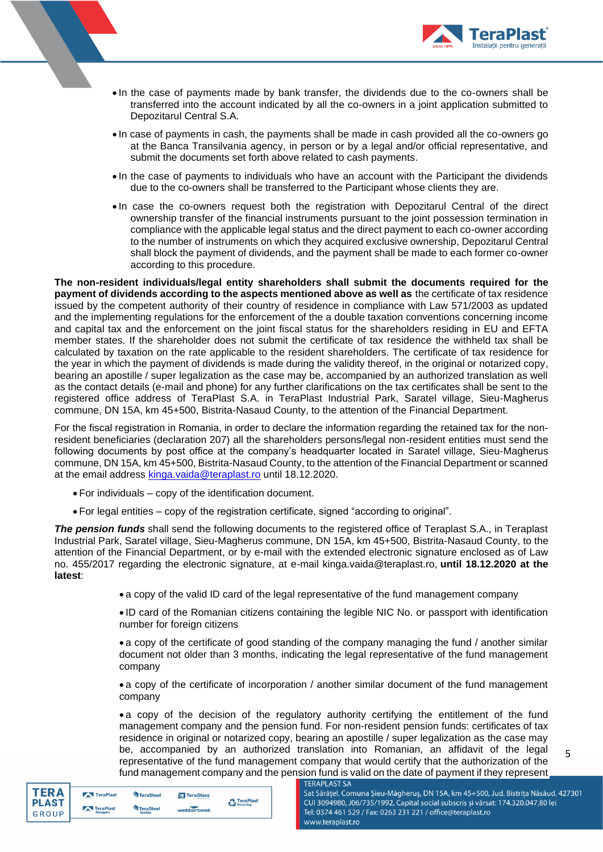

- In the case of payments made by bank transfer, the dividends due to the co-owners shall be transferred into the account indicated by all the co-owners in a joint application submitted to Depozitarul Central S.A.
- In case of payments in cash, the payments shall be made in cash provided all the co-owners go at the Banca Transilvania agency, in person or by a legal and/or official representative, and submit the documents set forth above related to cash payments.
- In the case of payments to individuals who have an account with the Participant the dividends due to the co-owners shall be transferred to the Participant whose clients they are.
- In case the co-owners request both the registration with Depozitarul Central of the direct ownership transfer of the financial instruments pursuant to the joint possession termination in compliance with the applicable legal status and the direct payment to each co-owner according to the number of instruments on which they acquired exclusive ownership, Depozitarul Central shall block the payment of dividends, and the payment shall be made to each former co-owner according to this procedure.

**The non-resident individuals/legal entity shareholders shall submit the documents required for the payment of dividends according to the aspects mentioned above as well as** the certificate of tax residence issued by the competent authority of their country of residence in compliance with Law 571/2003 as updated and the implementing regulations for the enforcement of the a double taxation conventions concerning income and capital tax and the enforcement on the joint fiscal status for the shareholders residing in EU and EFTA member states. If the shareholder does not submit the certificate of tax residence the withheld tax shall be calculated by taxation on the rate applicable to the resident shareholders. The certificate of tax residence for the year in which the payment of dividends is made during the validity thereof, in the original or notarized copy, bearing an apostille / super legalization as the case may be, accompanied by an authorized translation as well as the contact details (e-mail and phone) for any further clarifications on the tax certificates shall be sent to the registered office address of TeraPlast S.A. in TeraPlast Industrial Park, Saratel village, Sieu-Magherus commune, DN 15A, km 45+500, Bistrita-Nasaud County, to the attention of the Financial Department.

For the fiscal registration in Romania, in order to declare the information regarding the retained tax for the nonresident beneficiaries (declaration 207) all the shareholders persons/legal non-resident entities must send the following documents by post office at the company's headquarter located in Saratel village, Sieu-Magherus commune, DN 15A, km 45+500, Bistrita-Nasaud County, to the attention of the Financial Department or scanned at the email address [kinga.vaida@teraplast.ro](mailto:kinga.vaida@teraplast.ro) until 18.12.2020.

- For individuals copy of the identification document.
- For legal entities copy of the registration certificate, signed "according to original".

*The pension funds* shall send the following documents to the registered office of Teraplast S.A., in Teraplast Industrial Park, Saratel village, Sieu-Magherus commune, DN 15A, km 45+500, Bistrita-Nasaud County, to the attention of the Financial Department, or by e-mail with the extended electronic signature enclosed as of Law no. 455/2017 regarding the electronic signature, at e-mail kinga.vaida@teraplast.ro, **until 18.12.2020 at the latest**:

• a copy of the valid ID card of the legal representative of the fund management company

• ID card of the Romanian citizens containing the legible NIC No. or passport with identification number for foreign citizens

• a copy of the certificate of good standing of the company managing the fund / another similar document not older than 3 months, indicating the legal representative of the fund management company

• a copy of the certificate of incorporation / another similar document of the fund management company

• a copy of the decision of the regulatory authority certifying the entitlement of the fund management company and the pension fund. For non-resident pension funds: certificates of tax residence in original or notarized copy, bearing an apostille / super legalization as the case may be, accompanied by an authorized translation into Romanian, an affidavit of the legal representative of the fund management company that would certify that the authorization of the fund management company and the pension fund is valid on the date of payment if they represent **TERAPLAST SA** 

5



| TeraPlast            | TeraSteel           | TeraGlass  |                    |
|----------------------|---------------------|------------|--------------------|
| TeraPlast<br>Hungary | TeraSteel<br>Serbia | wetterbest | <b>C</b> TeraPlast |

Sat Sărățel, Comuna Șieu-Măgheruș, DN 15A, km 45+500, Jud. Bistrița Năsăud, 427301 CUI 3094980, J06/735/1992, Capital social subscris și vărsat: 174.320.047,80 lei Tel: 0374 461 529 / Fax: 0263 231 221 / office@teraplast.ro www.teraplast.ro